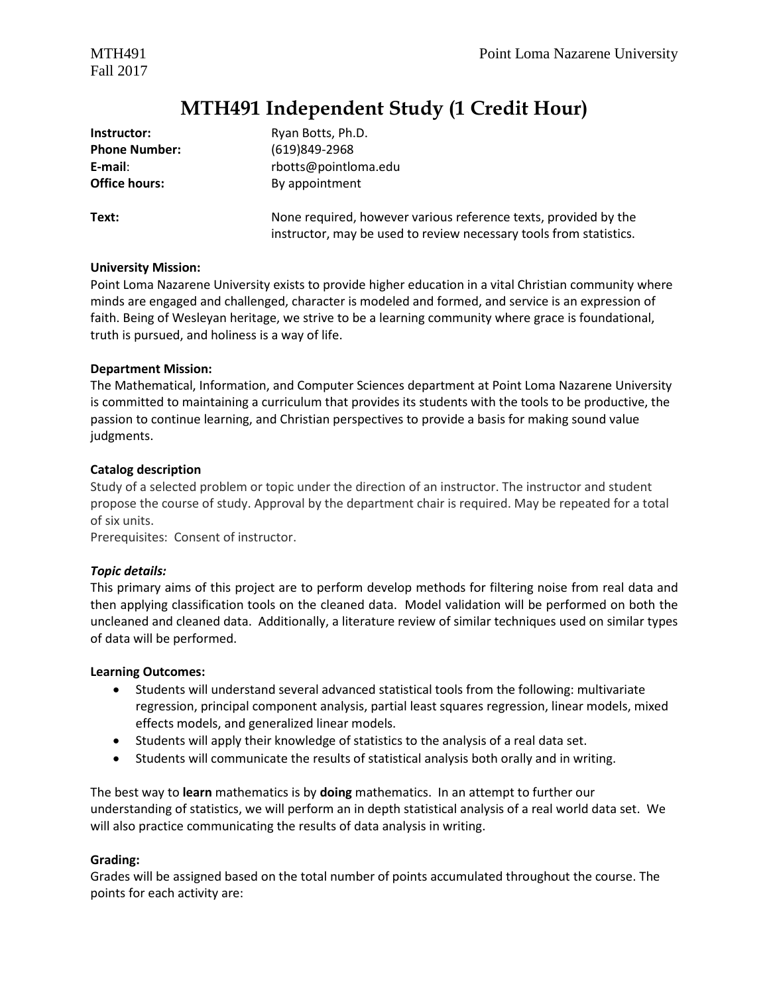Fall 2017

## **MTH491 Independent Study (1 Credit Hour)**

| Instructor:          | Ryan Botts, Ph.D.                                                                                                                     |
|----------------------|---------------------------------------------------------------------------------------------------------------------------------------|
| <b>Phone Number:</b> | (619)849-2968                                                                                                                         |
| E-mail:              | rbotts@pointloma.edu                                                                                                                  |
| <b>Office hours:</b> | By appointment                                                                                                                        |
| Text:                | None required, however various reference texts, provided by the<br>instructor, may be used to review necessary tools from statistics. |

#### **University Mission:**

Point Loma Nazarene University exists to provide higher education in a vital Christian community where minds are engaged and challenged, character is modeled and formed, and service is an expression of faith. Being of Wesleyan heritage, we strive to be a learning community where grace is foundational, truth is pursued, and holiness is a way of life.

#### **Department Mission:**

The Mathematical, Information, and Computer Sciences department at Point Loma Nazarene University is committed to maintaining a curriculum that provides its students with the tools to be productive, the passion to continue learning, and Christian perspectives to provide a basis for making sound value judgments.

#### **Catalog description**

Study of a selected problem or topic under the direction of an instructor. The instructor and student propose the course of study. Approval by the department chair is required. May be repeated for a total of six units.

Prerequisites: Consent of instructor.

#### *Topic details:*

This primary aims of this project are to perform develop methods for filtering noise from real data and then applying classification tools on the cleaned data. Model validation will be performed on both the uncleaned and cleaned data. Additionally, a literature review of similar techniques used on similar types of data will be performed.

#### **Learning Outcomes:**

- Students will understand several advanced statistical tools from the following: multivariate regression, principal component analysis, partial least squares regression, linear models, mixed effects models, and generalized linear models.
- Students will apply their knowledge of statistics to the analysis of a real data set.
- Students will communicate the results of statistical analysis both orally and in writing.

The best way to **learn** mathematics is by **doing** mathematics.In an attempt to further our understanding of statistics, we will perform an in depth statistical analysis of a real world data set. We will also practice communicating the results of data analysis in writing.

#### **Grading:**

Grades will be assigned based on the total number of points accumulated throughout the course. The points for each activity are: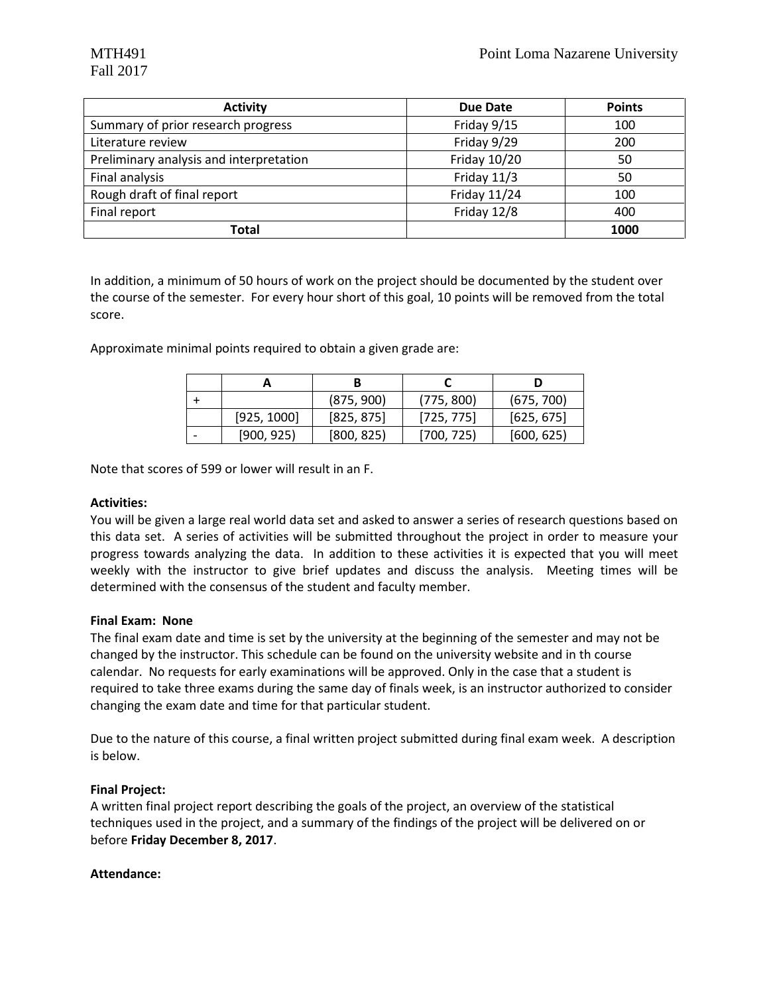| <b>Activity</b>                         | <b>Due Date</b> | <b>Points</b> |
|-----------------------------------------|-----------------|---------------|
| Summary of prior research progress      | Friday 9/15     | 100           |
| Literature review                       | Friday 9/29     | 200           |
| Preliminary analysis and interpretation | Friday 10/20    | 50            |
| Final analysis                          | Friday 11/3     | 50            |
| Rough draft of final report             | Friday 11/24    | 100           |
| Final report                            | Friday 12/8     | 400           |
| Total                                   |                 | 1000          |

In addition, a minimum of 50 hours of work on the project should be documented by the student over the course of the semester. For every hour short of this goal, 10 points will be removed from the total score.

Approximate minimal points required to obtain a given grade are:

|             | (875, 900) | (775, 800) | (675, 700) |
|-------------|------------|------------|------------|
| [925, 1000] | [825, 875] | [725, 775] | [625, 675] |
| [900, 925]  | [800, 825] | [700, 725] | [600, 625] |

Note that scores of 599 or lower will result in an F.

#### **Activities:**

You will be given a large real world data set and asked to answer a series of research questions based on this data set. A series of activities will be submitted throughout the project in order to measure your progress towards analyzing the data. In addition to these activities it is expected that you will meet weekly with the instructor to give brief updates and discuss the analysis. Meeting times will be determined with the consensus of the student and faculty member.

#### **Final Exam: None**

The final exam date and time is set by the university at the beginning of the semester and may not be changed by the instructor. This schedule can be found on the university website and in th course calendar. No requests for early examinations will be approved. Only in the case that a student is required to take three exams during the same day of finals week, is an instructor authorized to consider changing the exam date and time for that particular student.

Due to the nature of this course, a final written project submitted during final exam week. A description is below.

#### **Final Project:**

A written final project report describing the goals of the project, an overview of the statistical techniques used in the project, and a summary of the findings of the project will be delivered on or before **Friday December 8, 2017**.

#### **Attendance:**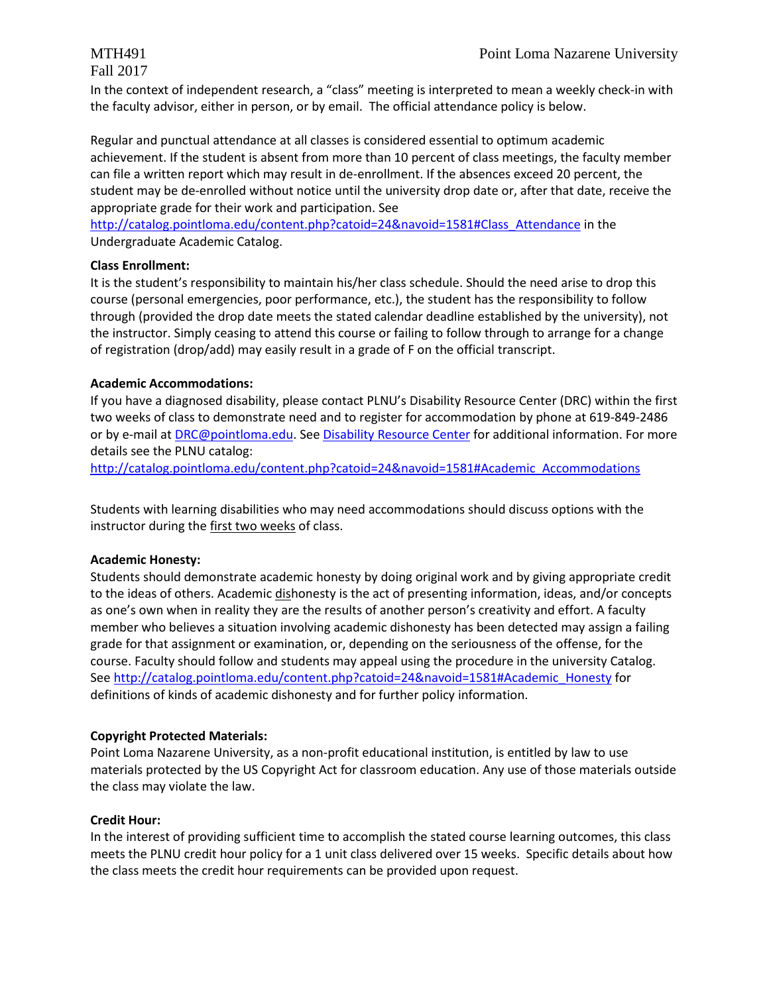In the context of independent research, a "class" meeting is interpreted to mean a weekly check-in with the faculty advisor, either in person, or by email. The official attendance policy is below.

Regular and punctual attendance at all classes is considered essential to optimum academic achievement. If the student is absent from more than 10 percent of class meetings, the faculty member can file a written report which may result in de-enrollment. If the absences exceed 20 percent, the student may be de-enrolled without notice until the university drop date or, after that date, receive the appropriate grade for their work and participation. See

[http://catalog.pointloma.edu/content.php?catoid=24&navoid=1581#Class\\_Attendance](http://catalog.pointloma.edu/content.php?catoid=24&navoid=1581#Class_Attendance) in the Undergraduate Academic Catalog.

### **Class Enrollment:**

It is the student's responsibility to maintain his/her class schedule. Should the need arise to drop this course (personal emergencies, poor performance, etc.), the student has the responsibility to follow through (provided the drop date meets the stated calendar deadline established by the university), not the instructor. Simply ceasing to attend this course or failing to follow through to arrange for a change of registration (drop/add) may easily result in a grade of F on the official transcript.

### **Academic Accommodations:**

If you have a diagnosed disability, please contact PLNU's Disability Resource Center (DRC) within the first two weeks of class to demonstrate need and to register for accommodation by phone at 619-849-2486 or by e-mail at [DRC@pointloma.edu.](mailto:DRC@pointloma.edu) See [Disability Resource Center](http://www.pointloma.edu/experience/offices/administrative-offices/academic-advising-office/disability-resource-center) for additional information. For more details see the PLNU catalog:

[http://catalog.pointloma.edu/content.php?catoid=24&navoid=1581#Academic\\_Accommodations](http://catalog.pointloma.edu/content.php?catoid=24&navoid=1581#Academic_Accommodations)

Students with learning disabilities who may need accommodations should discuss options with the instructor during the first two weeks of class.

#### **Academic Honesty:**

Students should demonstrate academic honesty by doing original work and by giving appropriate credit to the ideas of others. Academic dishonesty is the act of presenting information, ideas, and/or concepts as one's own when in reality they are the results of another person's creativity and effort. A faculty member who believes a situation involving academic dishonesty has been detected may assign a failing grade for that assignment or examination, or, depending on the seriousness of the offense, for the course. Faculty should follow and students may appeal using the procedure in the university Catalog. Se[e http://catalog.pointloma.edu/content.php?catoid=24&navoid=1581#Academic\\_Honesty](http://catalog.pointloma.edu/content.php?catoid=24&navoid=1581#Academic_Honesty) for definitions of kinds of academic dishonesty and for further policy information.

### **Copyright Protected Materials:**

Point Loma Nazarene University, as a non-profit educational institution, is entitled by law to use materials protected by the US Copyright Act for classroom education. Any use of those materials outside the class may violate the law.

#### **Credit Hour:**

In the interest of providing sufficient time to accomplish the stated course learning outcomes, this class meets the PLNU credit hour policy for a 1 unit class delivered over 15 weeks. Specific details about how the class meets the credit hour requirements can be provided upon request.